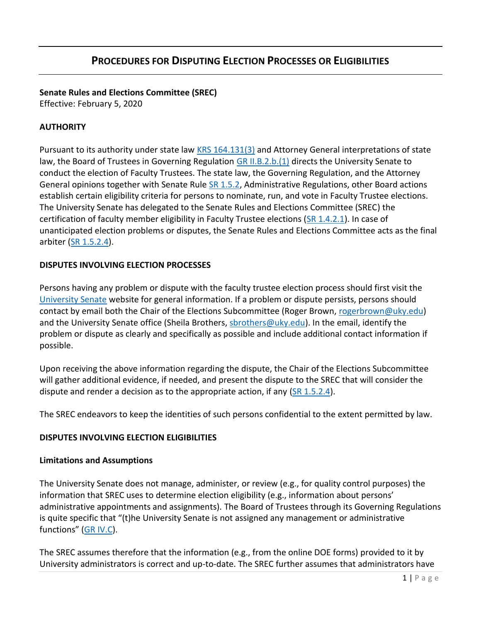# **Senate Rules and Elections Committee (SREC)**

Effective: February 5, 2020

### **AUTHORITY**

Pursuant to its authority under state law [KRS 164.131\(3\)](https://apps.legislature.ky.gov/law/statutes/statute.aspx?id=45572) and Attorney General interpretations of state law, the Board of Trustees in Governing Regulation [GR II.B.2.b.\(1\)](https://www.uky.edu/regs/sites/www.uky.edu.regs/files/files/gr/gr2.pdf) directs the University Senate to conduct the election of Faculty Trustees. The state law, the Governing Regulation, and the Attorney General opinions together with Senate Rule [SR 1.5.2,](https://drive.google.com/file/d/1VChI9QJ66y-ihkMv2N6Tm6LBPjERO-a1/view?usp=sharing) Administrative Regulations, other Board actions establish certain eligibility criteria for persons to nominate, run, and vote in Faculty Trustee elections. The University Senate has delegated to the Senate Rules and Elections Committee (SREC) the certification of faculty member eligibility in Faculty Trustee elections [\(SR 1.4.2.1\)](https://drive.google.com/file/d/1VJ2ji9D95oOpFvNTUmoiEGdlstf22PZB/view?usp=sharing). In case of unanticipated election problems or disputes, the Senate Rules and Elections Committee acts as the final arbiter [\(SR 1.5.2.4\)](https://drive.google.com/file/d/1VGESNO_vNSTvMgYmCZlUsxSBFlXNieL5/view?usp=sharing).

### **DISPUTES INVOLVING ELECTION PROCESSES**

Persons having any problem or dispute with the faculty trustee election process should first visit the [University Senate](https://www.uky.edu/universitysenate/) website for general information. If a problem or dispute persists, persons should contact by email both the Chair of the Elections Subcommittee (Roger Brown, [rogerbrown@uky.edu\)](mailto:rogerbrown@uky.edu) and the University Senate office (Sheila Brothers, [sbrothers@uky.edu\)](mailto:sbrothers@uky.edu). In the email, identify the problem or dispute as clearly and specifically as possible and include additional contact information if possible.

Upon receiving the above information regarding the dispute, the Chair of the Elections Subcommittee will gather additional evidence, if needed, and present the dispute to the SREC that will consider the dispute and render a decision as to the appropriate action, if any  $(SR 1.5.2.4)$ .

The SREC endeavors to keep the identities of such persons confidential to the extent permitted by law.

### **DISPUTES INVOLVING ELECTION ELIGIBILITIES**

### **Limitations and Assumptions**

The University Senate does not manage, administer, or review (e.g., for quality control purposes) the information that SREC uses to determine election eligibility (e.g., information about persons' administrative appointments and assignments). The Board of Trustees through its Governing Regulations is quite specific that "(t)he University Senate is not assigned any management or administrative functions" ([GR IV.C\)](https://www.uky.edu/regs/sites/www.uky.edu.regs/files/files/gr/gr4.pdf).

The SREC assumes therefore that the information (e.g., from the online DOE forms) provided to it by University administrators is correct and up-to-date. The SREC further assumes that administrators have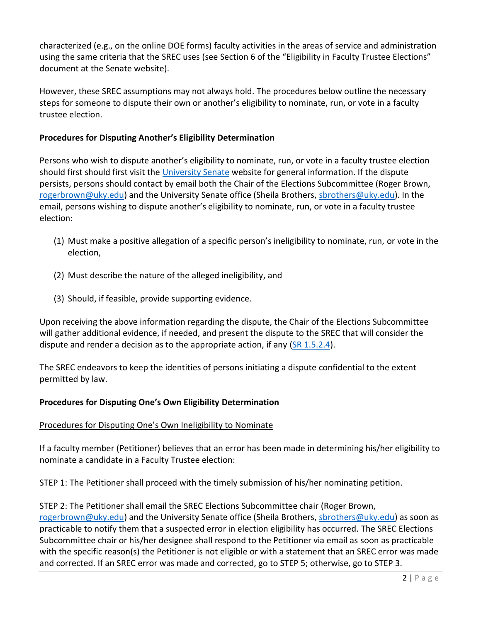characterized (e.g., on the online DOE forms) faculty activities in the areas of service and administration using the same criteria that the SREC uses (see Section 6 of the "Eligibility in Faculty Trustee Elections" document at the Senate website).

However, these SREC assumptions may not always hold. The procedures below outline the necessary steps for someone to dispute their own or another's eligibility to nominate, run, or vote in a faculty trustee election.

### **Procedures for Disputing Another's Eligibility Determination**

Persons who wish to dispute another's eligibility to nominate, run, or vote in a faculty trustee election should first should first visit the [University Senate](https://www.uky.edu/universitysenate/) website for general information. If the dispute persists, persons should contact by email both the Chair of the Elections Subcommittee (Roger Brown, [rogerbrown@uky.edu\)](mailto:rogerbrown@uky.edu) and the University Senate office (Sheila Brothers, [sbrothers@uky.edu\)](mailto:sbrothers@uky.edu). In the email, persons wishing to dispute another's eligibility to nominate, run, or vote in a faculty trustee election:

- (1) Must make a positive allegation of a specific person's ineligibility to nominate, run, or vote in the election,
- (2) Must describe the nature of the alleged ineligibility, and
- (3) Should, if feasible, provide supporting evidence.

Upon receiving the above information regarding the dispute, the Chair of the Elections Subcommittee will gather additional evidence, if needed, and present the dispute to the SREC that will consider the dispute and render a decision as to the appropriate action, if any [\(SR 1.5.2.4\)](https://drive.google.com/file/d/1VGESNO_vNSTvMgYmCZlUsxSBFlXNieL5/view?usp=sharing).

The SREC endeavors to keep the identities of persons initiating a dispute confidential to the extent permitted by law.

### **Procedures for Disputing One's Own Eligibility Determination**

### Procedures for Disputing One's Own Ineligibility to Nominate

If a faculty member (Petitioner) believes that an error has been made in determining his/her eligibility to nominate a candidate in a Faculty Trustee election:

STEP 1: The Petitioner shall proceed with the timely submission of his/her nominating petition.

STEP 2: The Petitioner shall email the SREC Elections Subcommittee chair (Roger Brown, [rogerbrown@uky.edu\)](mailto:rogerbrown@uky.edu) and the University Senate office (Sheila Brothers, [sbrothers@uky.edu\)](mailto:sbrothers@uky.edu) as soon as practicable to notify them that a suspected error in election eligibility has occurred. The SREC Elections Subcommittee chair or his/her designee shall respond to the Petitioner via email as soon as practicable with the specific reason(s) the Petitioner is not eligible or with a statement that an SREC error was made and corrected. If an SREC error was made and corrected, go to STEP 5; otherwise, go to STEP 3.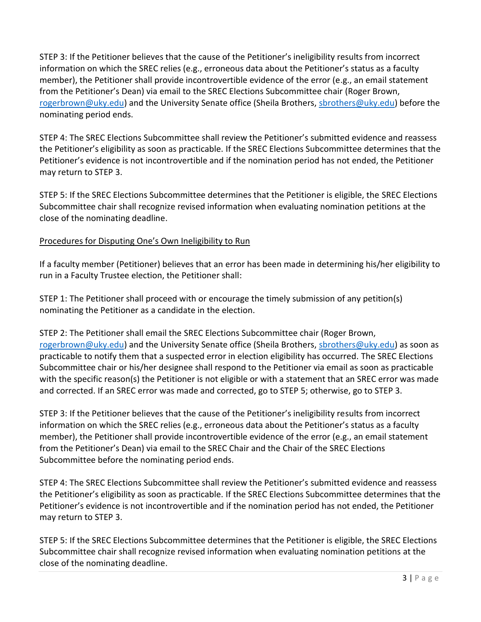STEP 3: If the Petitioner believes that the cause of the Petitioner's ineligibility results from incorrect information on which the SREC relies (e.g., erroneous data about the Petitioner's status as a faculty member), the Petitioner shall provide incontrovertible evidence of the error (e.g., an email statement from the Petitioner's Dean) via email to the SREC Elections Subcommittee chair (Roger Brown, [rogerbrown@uky.edu\)](mailto:rogerbrown@uky.edu) and the University Senate office (Sheila Brothers, [sbrothers@uky.edu\)](mailto:sbrothers@uky.edu) before the nominating period ends.

STEP 4: The SREC Elections Subcommittee shall review the Petitioner's submitted evidence and reassess the Petitioner's eligibility as soon as practicable. If the SREC Elections Subcommittee determines that the Petitioner's evidence is not incontrovertible and if the nomination period has not ended, the Petitioner may return to STEP 3.

STEP 5: If the SREC Elections Subcommittee determines that the Petitioner is eligible, the SREC Elections Subcommittee chair shall recognize revised information when evaluating nomination petitions at the close of the nominating deadline.

## Procedures for Disputing One's Own Ineligibility to Run

If a faculty member (Petitioner) believes that an error has been made in determining his/her eligibility to run in a Faculty Trustee election, the Petitioner shall:

STEP 1: The Petitioner shall proceed with or encourage the timely submission of any petition(s) nominating the Petitioner as a candidate in the election.

STEP 2: The Petitioner shall email the SREC Elections Subcommittee chair (Roger Brown, [rogerbrown@uky.edu\)](mailto:rogerbrown@uky.edu) and the University Senate office (Sheila Brothers, [sbrothers@uky.edu\)](mailto:sbrothers@uky.edu) as soon as practicable to notify them that a suspected error in election eligibility has occurred. The SREC Elections Subcommittee chair or his/her designee shall respond to the Petitioner via email as soon as practicable with the specific reason(s) the Petitioner is not eligible or with a statement that an SREC error was made and corrected. If an SREC error was made and corrected, go to STEP 5; otherwise, go to STEP 3.

STEP 3: If the Petitioner believes that the cause of the Petitioner's ineligibility results from incorrect information on which the SREC relies (e.g., erroneous data about the Petitioner's status as a faculty member), the Petitioner shall provide incontrovertible evidence of the error (e.g., an email statement from the Petitioner's Dean) via email to the SREC Chair and the Chair of the SREC Elections Subcommittee before the nominating period ends.

STEP 4: The SREC Elections Subcommittee shall review the Petitioner's submitted evidence and reassess the Petitioner's eligibility as soon as practicable. If the SREC Elections Subcommittee determines that the Petitioner's evidence is not incontrovertible and if the nomination period has not ended, the Petitioner may return to STEP 3.

STEP 5: If the SREC Elections Subcommittee determines that the Petitioner is eligible, the SREC Elections Subcommittee chair shall recognize revised information when evaluating nomination petitions at the close of the nominating deadline.